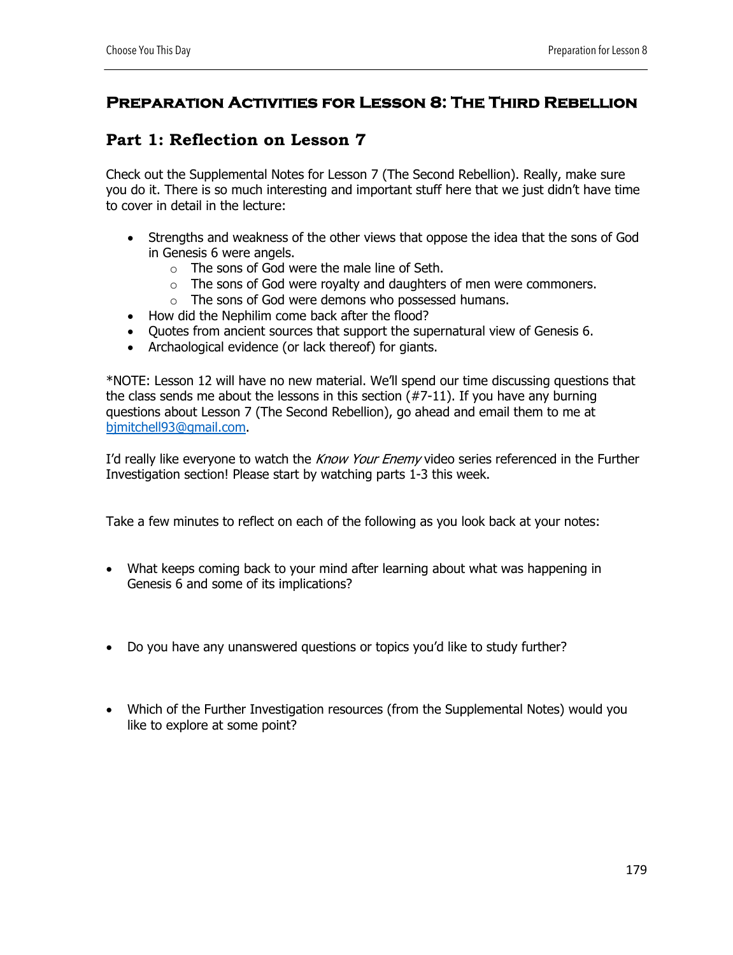## **Preparation Activities for Lesson 8: The Third Rebellion**

## **Part 1: Reflection on Lesson 7**

Check out the Supplemental Notes for Lesson 7 (The Second Rebellion). Really, make sure you do it. There is so much interesting and important stuff here that we just didn't have time to cover in detail in the lecture:

- Strengths and weakness of the other views that oppose the idea that the sons of God in Genesis 6 were angels.
	- o The sons of God were the male line of Seth.
	- o The sons of God were royalty and daughters of men were commoners.
	- o The sons of God were demons who possessed humans.
- How did the Nephilim come back after the flood?
- Quotes from ancient sources that support the supernatural view of Genesis 6.
- Archaological evidence (or lack thereof) for giants.

\*NOTE: Lesson 12 will have no new material. We'll spend our time discussing questions that the class sends me about the lessons in this section (#7-11). If you have any burning questions about Lesson 7 (The Second Rebellion), go ahead and email them to me at bjmitchell93@gmail.com.

I'd really like everyone to watch the Know Your Enemy video series referenced in the Further Investigation section! Please start by watching parts 1-3 this week.

Take a few minutes to reflect on each of the following as you look back at your notes:

- What keeps coming back to your mind after learning about what was happening in Genesis 6 and some of its implications?
- Do you have any unanswered questions or topics you'd like to study further?
- Which of the Further Investigation resources (from the Supplemental Notes) would you like to explore at some point?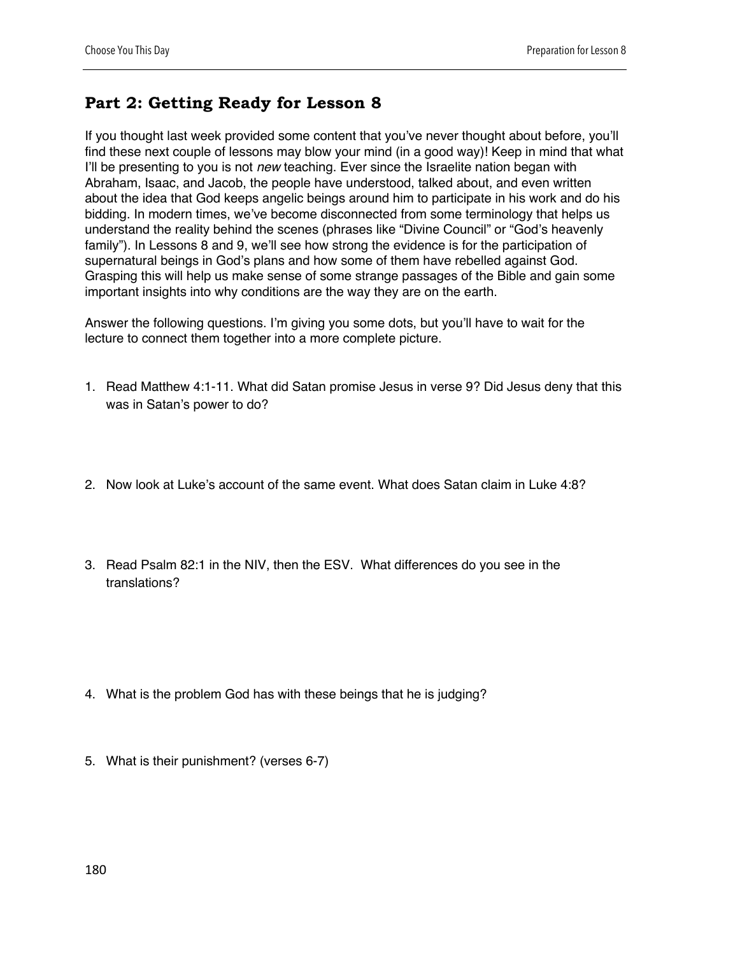## **Part 2: Getting Ready for Lesson 8**

If you thought last week provided some content that you've never thought about before, you'll find these next couple of lessons may blow your mind (in a good way)! Keep in mind that what I'll be presenting to you is not *new* teaching. Ever since the Israelite nation began with Abraham, Isaac, and Jacob, the people have understood, talked about, and even written about the idea that God keeps angelic beings around him to participate in his work and do his bidding. In modern times, we've become disconnected from some terminology that helps us understand the reality behind the scenes (phrases like "Divine Council" or "God's heavenly family"). In Lessons 8 and 9, we'll see how strong the evidence is for the participation of supernatural beings in God's plans and how some of them have rebelled against God. Grasping this will help us make sense of some strange passages of the Bible and gain some important insights into why conditions are the way they are on the earth.

Answer the following questions. I'm giving you some dots, but you'll have to wait for the lecture to connect them together into a more complete picture.

- 1. Read Matthew 4:1-11. What did Satan promise Jesus in verse 9? Did Jesus deny that this was in Satan's power to do?
- 2. Now look at Luke's account of the same event. What does Satan claim in Luke 4:8?
- 3. Read Psalm 82:1 in the NIV, then the ESV. What differences do you see in the translations?

- 4. What is the problem God has with these beings that he is judging?
- 5. What is their punishment? (verses 6-7)